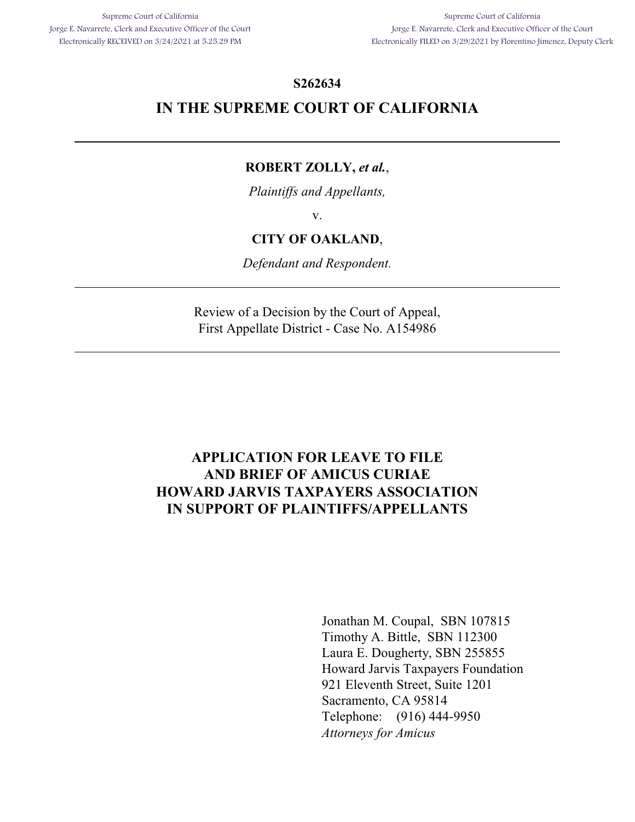### **S262634**

## **IN THE SUPREME COURT OF CALIFORNIA**

## **ROBERT ZOLLY,** *et al.*,

*Plaintiffs and Appellants,*

v.

### **CITY OF OAKLAND**,

*Defendant and Respondent.*

Review of a Decision by the Court of Appeal, First Appellate District - Case No. A154986

## **APPLICATION FOR LEAVE TO FILE AND BRIEF OF AMICUS CURIAE HOWARD JARVIS TAXPAYERS ASSOCIATION IN SUPPORT OF PLAINTIFFS/APPELLANTS**

Jonathan M. Coupal, SBN 107815 Timothy A. Bittle, SBN 112300 Laura E. Dougherty, SBN 255855 Howard Jarvis Taxpayers Foundation 921 Eleventh Street, Suite 1201 Sacramento, CA 95814 Telephone: (916) 444-9950 *Attorneys for Amicus*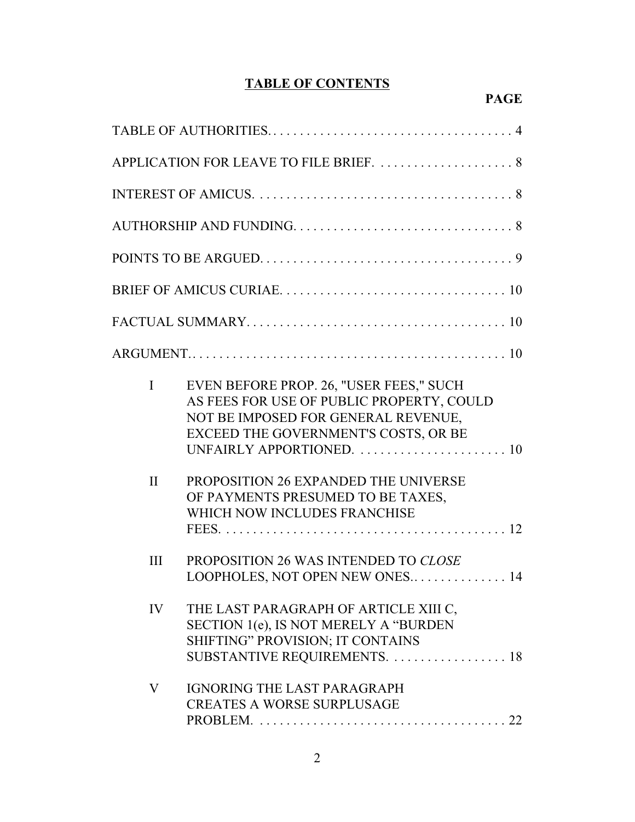# **TABLE OF CONTENTS**

| APPLICATION FOR LEAVE TO FILE BRIEF.  8 |                                                                                                                                                                     |  |  |  |  |  |  |  |
|-----------------------------------------|---------------------------------------------------------------------------------------------------------------------------------------------------------------------|--|--|--|--|--|--|--|
|                                         |                                                                                                                                                                     |  |  |  |  |  |  |  |
|                                         |                                                                                                                                                                     |  |  |  |  |  |  |  |
|                                         |                                                                                                                                                                     |  |  |  |  |  |  |  |
|                                         |                                                                                                                                                                     |  |  |  |  |  |  |  |
|                                         |                                                                                                                                                                     |  |  |  |  |  |  |  |
|                                         |                                                                                                                                                                     |  |  |  |  |  |  |  |
| $\mathbf{I}$                            | EVEN BEFORE PROP. 26, "USER FEES," SUCH<br>AS FEES FOR USE OF PUBLIC PROPERTY, COULD<br>NOT BE IMPOSED FOR GENERAL REVENUE,<br>EXCEED THE GOVERNMENT'S COSTS, OR BE |  |  |  |  |  |  |  |
| $\mathbf{I}$                            | PROPOSITION 26 EXPANDED THE UNIVERSE<br>OF PAYMENTS PRESUMED TO BE TAXES,<br>WHICH NOW INCLUDES FRANCHISE                                                           |  |  |  |  |  |  |  |
| Ш                                       | PROPOSITION 26 WAS INTENDED TO CLOSE<br>LOOPHOLES, NOT OPEN NEW ONES 14                                                                                             |  |  |  |  |  |  |  |
| IV                                      | THE LAST PARAGRAPH OF ARTICLE XIII C,<br>SECTION 1(e), IS NOT MERELY A "BURDEN<br>SHIFTING" PROVISION; IT CONTAINS<br>SUBSTANTIVE REQUIREMENTS.  18                 |  |  |  |  |  |  |  |
| V                                       | <b>IGNORING THE LAST PARAGRAPH</b><br><b>CREATES A WORSE SURPLUSAGE</b>                                                                                             |  |  |  |  |  |  |  |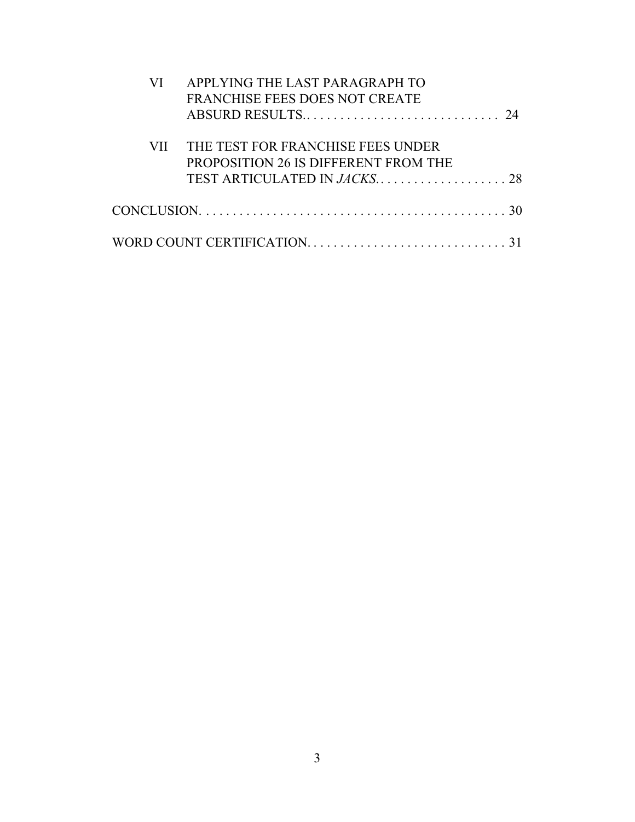| APPLYING THE LAST PARAGRAPH TO<br><b>FRANCHISE FEES DOES NOT CREATE</b>                                     |
|-------------------------------------------------------------------------------------------------------------|
|                                                                                                             |
| THE TEST FOR FRANCHISE FEES UNDER                                                                           |
| PROPOSITION 26 IS DIFFERENT FROM THE                                                                        |
|                                                                                                             |
| $CONCLUSION. \ldots \ldots \ldots \ldots \ldots \ldots \ldots \ldots \ldots \ldots \ldots \ldots \ldots 30$ |
|                                                                                                             |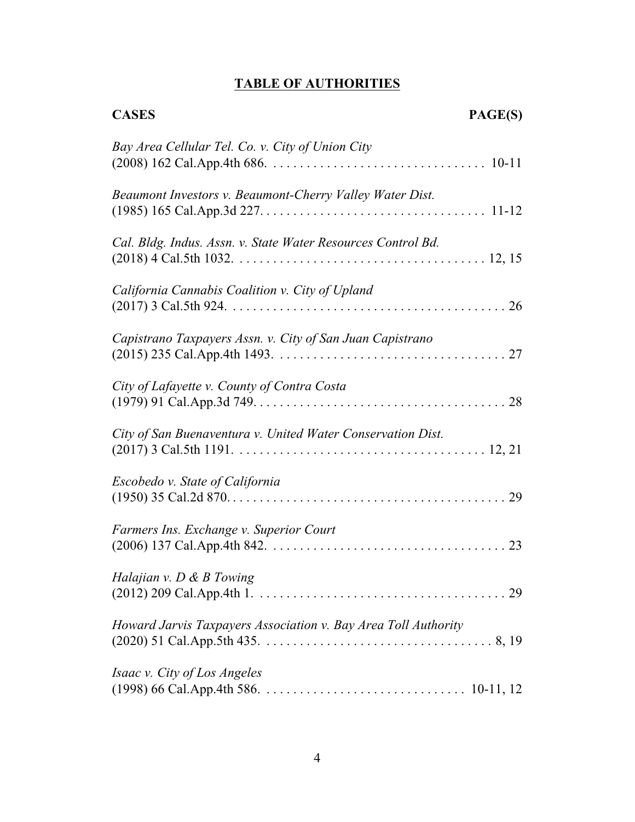# **TABLE OF AUTHORITIES**

| <b>CASES</b>                                                   | PAGE(S) |
|----------------------------------------------------------------|---------|
| Bay Area Cellular Tel. Co. v. City of Union City               |         |
| Beaumont Investors v. Beaumont-Cherry Valley Water Dist.       |         |
| Cal. Bldg. Indus. Assn. v. State Water Resources Control Bd.   |         |
| California Cannabis Coalition v. City of Upland                |         |
| Capistrano Taxpayers Assn. v. City of San Juan Capistrano      |         |
| City of Lafayette v. County of Contra Costa                    |         |
| City of San Buenaventura v. United Water Conservation Dist.    |         |
| Escobedo v. State of California                                |         |
| Farmers Ins. Exchange v. Superior Court                        |         |
| Halajian v. $D \& B$ Towing                                    |         |
| Howard Jarvis Taxpayers Association v. Bay Area Toll Authority |         |
| Isaac v. City of Los Angeles                                   |         |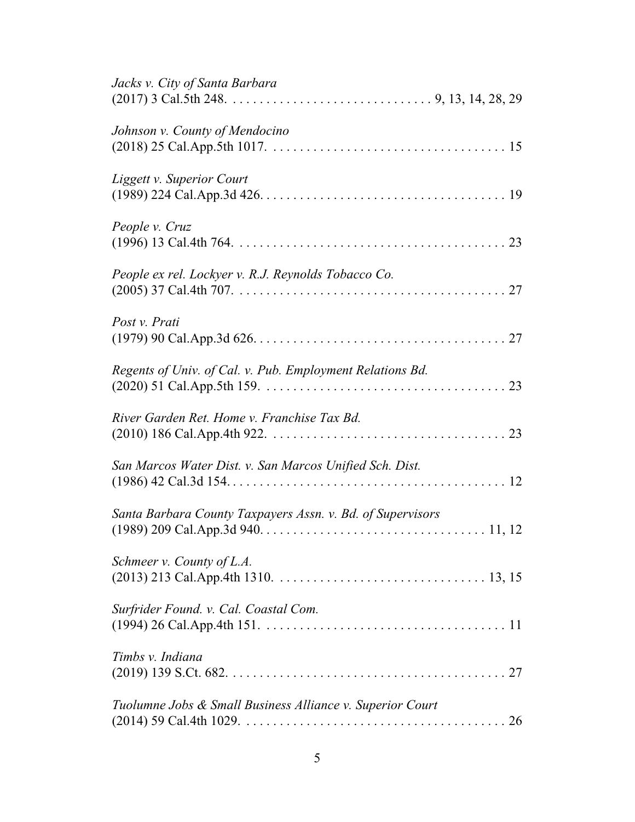| Jacks v. City of Santa Barbara                             |
|------------------------------------------------------------|
| Johnson v. County of Mendocino                             |
| Liggett v. Superior Court                                  |
| People v. Cruz                                             |
| People ex rel. Lockyer v. R.J. Reynolds Tobacco Co.        |
| Post v. Prati                                              |
| Regents of Univ. of Cal. v. Pub. Employment Relations Bd.  |
| River Garden Ret. Home v. Franchise Tax Bd.                |
| San Marcos Water Dist. v. San Marcos Unified Sch. Dist.    |
| Santa Barbara County Taxpayers Assn. v. Bd. of Supervisors |
| Schmeer v. County of L.A.                                  |
| Surfrider Found. v. Cal. Coastal Com.                      |
| Timbs v. Indiana                                           |
| Tuolumne Jobs & Small Business Alliance v. Superior Court  |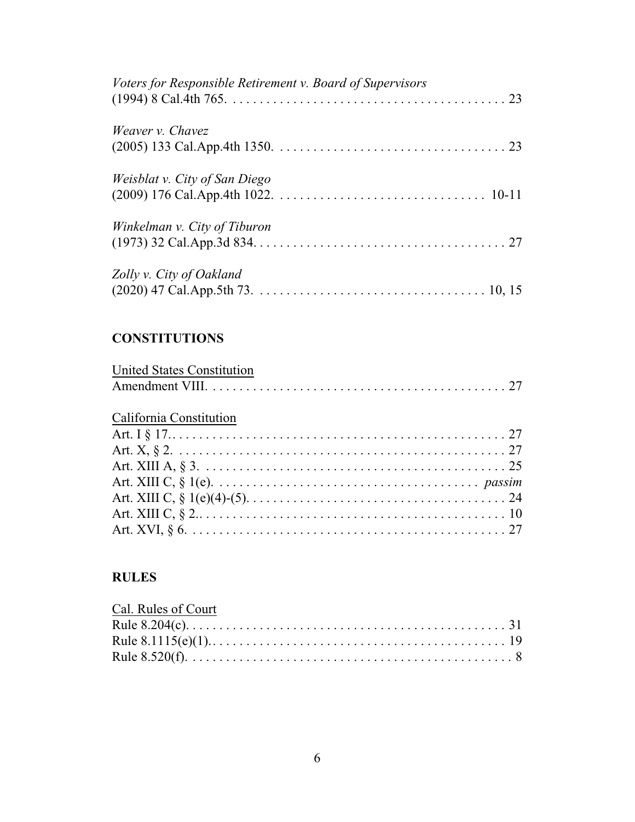| Voters for Responsible Retirement v. Board of Supervisors |
|-----------------------------------------------------------|
| Weaver v. Chavez                                          |
| Weisblat v. City of San Diego                             |
| Winkelman v. City of Tiburon                              |
| Zolly v. City of Oakland                                  |

# **CONSTITUTIONS**

| <b>United States Constitution</b> |  |  |
|-----------------------------------|--|--|
|                                   |  |  |

# California Constitution

## **RULES**

| Cal. Rules of Court |  |
|---------------------|--|
|                     |  |
|                     |  |
|                     |  |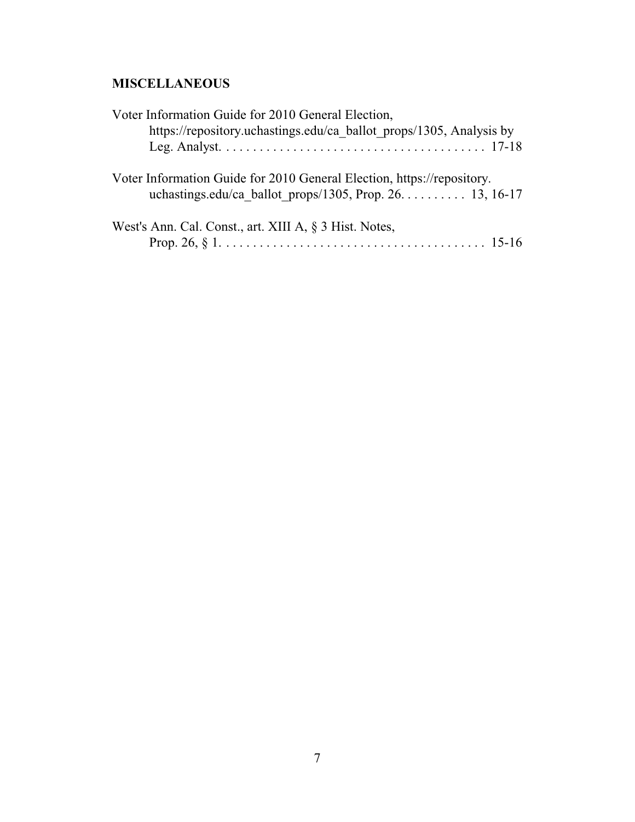# **MISCELLANEOUS**

| Voter Information Guide for 2010 General Election,                                                                                  |  |
|-------------------------------------------------------------------------------------------------------------------------------------|--|
| https://repository.uchastings.edu/ca_ballot_props/1305, Analysis by                                                                 |  |
| Voter Information Guide for 2010 General Election, https://repository.<br>uchastings.edu/ca ballot props/1305, Prop. $26$ 13, 16-17 |  |
| West's Ann. Cal. Const., art. XIII A, § 3 Hist. Notes,                                                                              |  |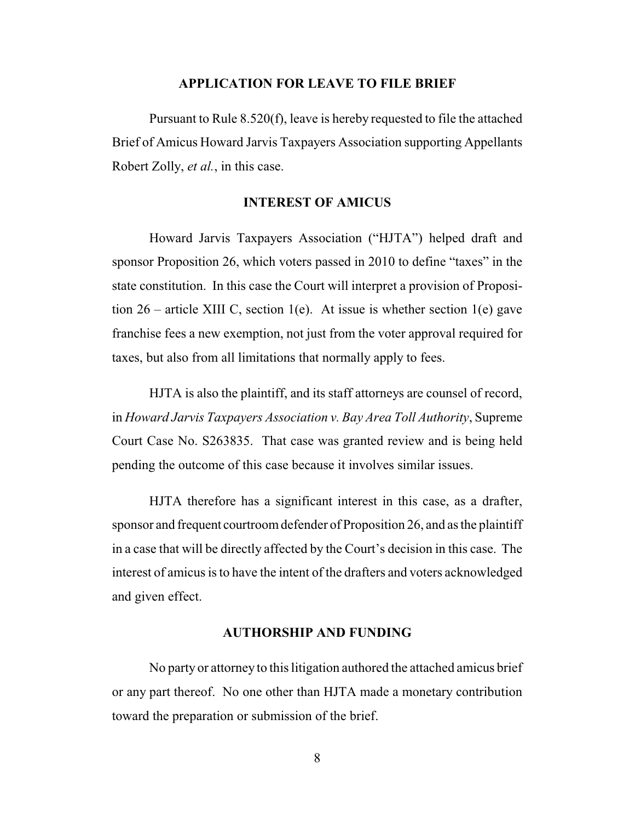#### **APPLICATION FOR LEAVE TO FILE BRIEF**

Pursuant to Rule 8.520(f), leave is hereby requested to file the attached Brief of Amicus Howard Jarvis Taxpayers Association supporting Appellants Robert Zolly, *et al.*, in this case.

### **INTEREST OF AMICUS**

Howard Jarvis Taxpayers Association ("HJTA") helped draft and sponsor Proposition 26, which voters passed in 2010 to define "taxes" in the state constitution. In this case the Court will interpret a provision of Proposition  $26$  – article XIII C, section 1(e). At issue is whether section 1(e) gave franchise fees a new exemption, not just from the voter approval required for taxes, but also from all limitations that normally apply to fees.

HJTA is also the plaintiff, and its staff attorneys are counsel of record, in *Howard Jarvis Taxpayers Association v. Bay Area Toll Authority*, Supreme Court Case No. S263835. That case was granted review and is being held pending the outcome of this case because it involves similar issues.

HJTA therefore has a significant interest in this case, as a drafter, sponsor and frequent courtroom defender of Proposition 26, and as the plaintiff in a case that will be directly affected by the Court's decision in this case. The interest of amicus is to have the intent of the drafters and voters acknowledged and given effect.

### **AUTHORSHIP AND FUNDING**

No party or attorney to this litigation authored the attached amicus brief or any part thereof. No one other than HJTA made a monetary contribution toward the preparation or submission of the brief.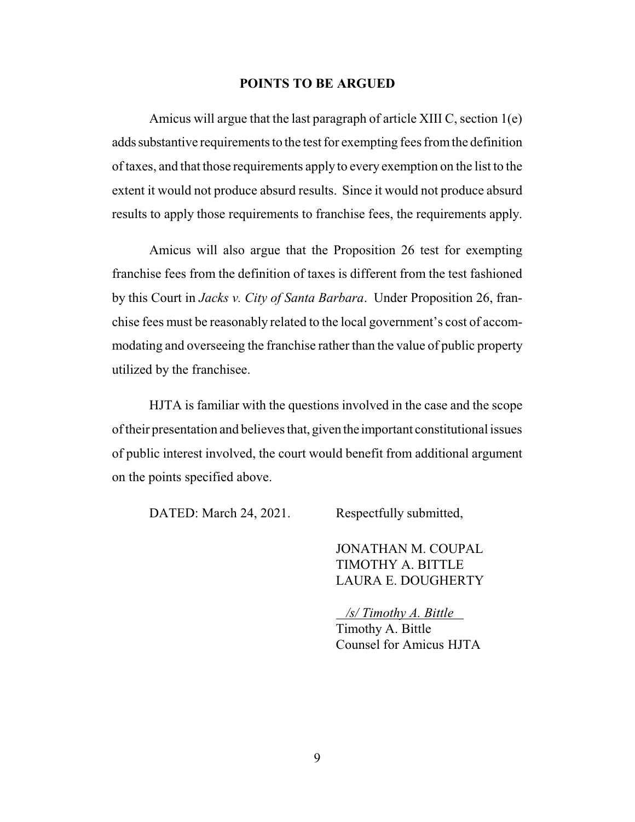### **POINTS TO BE ARGUED**

Amicus will argue that the last paragraph of article XIII C, section 1(e) adds substantive requirements to the test for exempting fees from the definition of taxes, and that those requirements apply to every exemption on the list to the extent it would not produce absurd results. Since it would not produce absurd results to apply those requirements to franchise fees, the requirements apply.

Amicus will also argue that the Proposition 26 test for exempting franchise fees from the definition of taxes is different from the test fashioned by this Court in *Jacks v. City of Santa Barbara*. Under Proposition 26, franchise fees must be reasonably related to the local government's cost of accommodating and overseeing the franchise rather than the value of public property utilized by the franchisee.

HJTA is familiar with the questions involved in the case and the scope oftheir presentation and believes that, given the important constitutional issues of public interest involved, the court would benefit from additional argument on the points specified above.

DATED: March 24, 2021. Respectfully submitted,

JONATHAN M. COUPAL TIMOTHY A. BITTLE LAURA E. DOUGHERTY

 */s/ Timothy A. Bittle*  Timothy A. Bittle Counsel for Amicus HJTA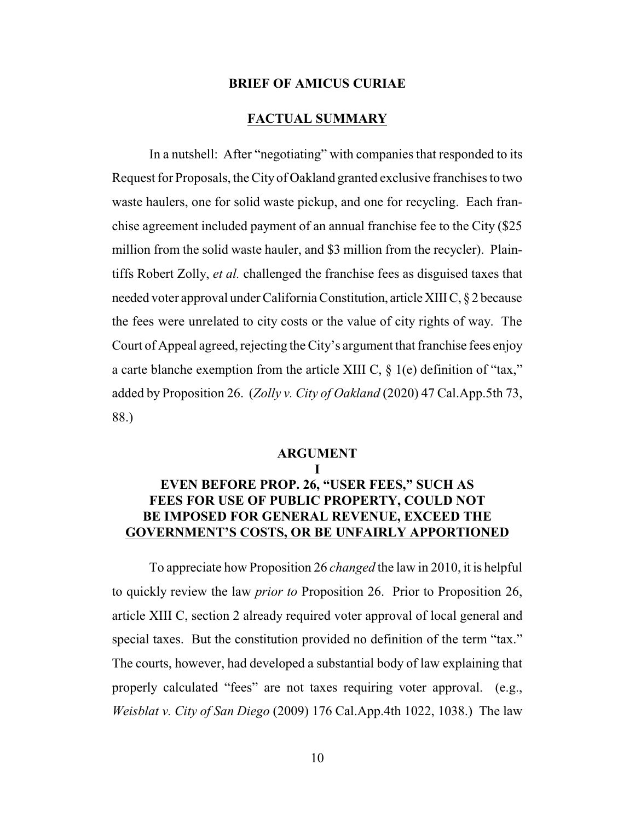#### **BRIEF OF AMICUS CURIAE**

### **FACTUAL SUMMARY**

In a nutshell: After "negotiating" with companies that responded to its Request for Proposals, the City of Oakland granted exclusive franchises to two waste haulers, one for solid waste pickup, and one for recycling. Each franchise agreement included payment of an annual franchise fee to the City (\$25 million from the solid waste hauler, and \$3 million from the recycler). Plaintiffs Robert Zolly, *et al.* challenged the franchise fees as disguised taxes that needed voter approval under California Constitution, articleXIIIC, § 2 because the fees were unrelated to city costs or the value of city rights of way. The Court of Appeal agreed, rejecting the City's argument that franchise fees enjoy a carte blanche exemption from the article XIII C, § 1(e) definition of "tax," added by Proposition 26. (*Zolly v. City of Oakland* (2020) 47 Cal.App.5th 73, 88.)

### **ARGUMENT**

**I**

## **EVEN BEFORE PROP. 26, "USER FEES," SUCH AS FEES FOR USE OF PUBLIC PROPERTY, COULD NOT BE IMPOSED FOR GENERAL REVENUE, EXCEED THE GOVERNMENT'S COSTS, OR BE UNFAIRLY APPORTIONED**

To appreciate how Proposition 26 *changed* the law in 2010, it is helpful to quickly review the law *prior to* Proposition 26. Prior to Proposition 26, article XIII C, section 2 already required voter approval of local general and special taxes. But the constitution provided no definition of the term "tax." The courts, however, had developed a substantial body of law explaining that properly calculated "fees" are not taxes requiring voter approval. (e.g., *Weisblat v. City of San Diego* (2009) 176 Cal.App.4th 1022, 1038.) The law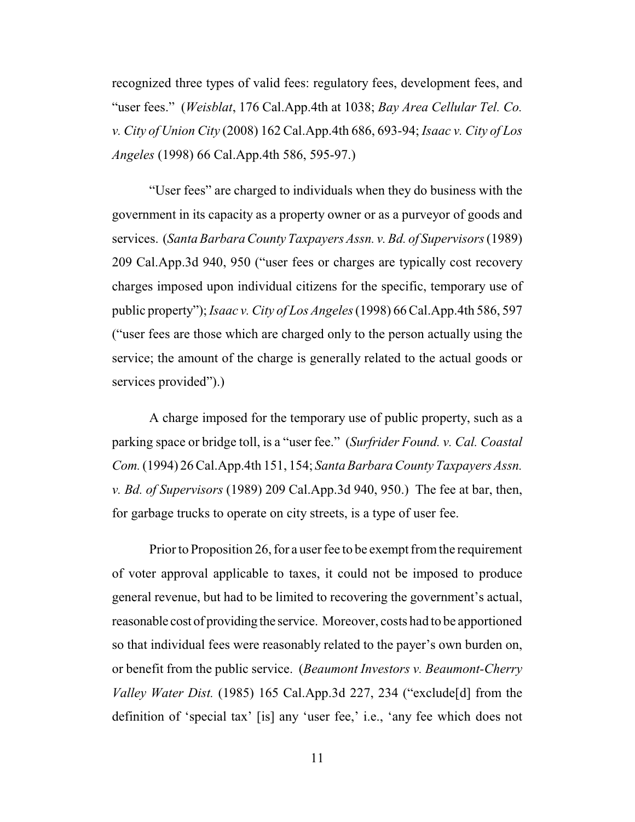recognized three types of valid fees: regulatory fees, development fees, and "user fees." (*Weisblat*, 176 Cal.App.4th at 1038; *Bay Area Cellular Tel. Co. v. City of Union City* (2008) 162 Cal.App.4th 686, 693-94; *Isaac v. City of Los Angeles* (1998) 66 Cal.App.4th 586, 595-97.)

"User fees" are charged to individuals when they do business with the government in its capacity as a property owner or as a purveyor of goods and services. (*Santa Barbara County Taxpayers Assn. v. Bd. of Supervisors*(1989) 209 Cal.App.3d 940, 950 ("user fees or charges are typically cost recovery charges imposed upon individual citizens for the specific, temporary use of public property"); *Isaac v. City of Los Angeles*(1998) 66 Cal.App.4th 586, 597 ("user fees are those which are charged only to the person actually using the service; the amount of the charge is generally related to the actual goods or services provided").)

A charge imposed for the temporary use of public property, such as a parking space or bridge toll, is a "user fee." (*Surfrider Found. v. Cal. Coastal Com.*(1994) 26 Cal.App.4th 151, 154; *Santa Barbara County Taxpayers Assn. v. Bd. of Supervisors* (1989) 209 Cal.App.3d 940, 950.) The fee at bar, then, for garbage trucks to operate on city streets, is a type of user fee.

Prior to Proposition 26, for a user fee to be exempt from the requirement of voter approval applicable to taxes, it could not be imposed to produce general revenue, but had to be limited to recovering the government's actual, reasonable cost of providing the service. Moreover, costs had to be apportioned so that individual fees were reasonably related to the payer's own burden on, or benefit from the public service. (*Beaumont Investors v. Beaumont-Cherry Valley Water Dist.* (1985) 165 Cal.App.3d 227, 234 ("exclude[d] from the definition of 'special tax' [is] any 'user fee,' i.e., 'any fee which does not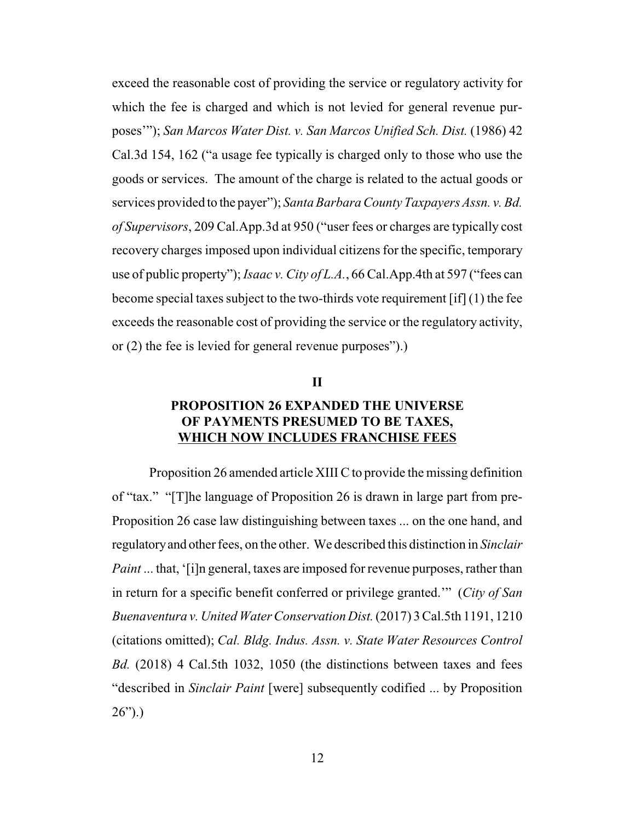exceed the reasonable cost of providing the service or regulatory activity for which the fee is charged and which is not levied for general revenue purposes'"); *San Marcos Water Dist. v. San Marcos Unified Sch. Dist.* (1986) 42 Cal.3d 154, 162 ("a usage fee typically is charged only to those who use the goods or services. The amount of the charge is related to the actual goods or services provided to the payer"); *Santa Barbara County Taxpayers Assn. v. Bd. of Supervisors*, 209 Cal.App.3d at 950 ("user fees or charges are typically cost recovery charges imposed upon individual citizens for the specific, temporary use of public property"); *Isaac v. City of L.A.*, 66 Cal.App.4th at 597 ("fees can become special taxes subject to the two-thirds vote requirement [if] (1) the fee exceeds the reasonable cost of providing the service or the regulatory activity, or (2) the fee is levied for general revenue purposes").)

### **II**

## **PROPOSITION 26 EXPANDED THE UNIVERSE OF PAYMENTS PRESUMED TO BE TAXES, WHICH NOW INCLUDES FRANCHISE FEES**

Proposition 26 amended article XIII C to provide the missing definition of "tax." "[T]he language of Proposition 26 is drawn in large part from pre-Proposition 26 case law distinguishing between taxes ... on the one hand, and regulatoryand other fees, on the other. We described this distinction in *Sinclair Paint* ... that, '[i]n general, taxes are imposed for revenue purposes, rather than in return for a specific benefit conferred or privilege granted.'" (*City of San Buenaventura v. United Water Conservation Dist.*(2017) 3 Cal.5th 1191, 1210 (citations omitted); *Cal. Bldg. Indus. Assn. v. State Water Resources Control Bd.* (2018) 4 Cal.5th 1032, 1050 (the distinctions between taxes and fees "described in *Sinclair Paint* [were] subsequently codified ... by Proposition  $26")$ .)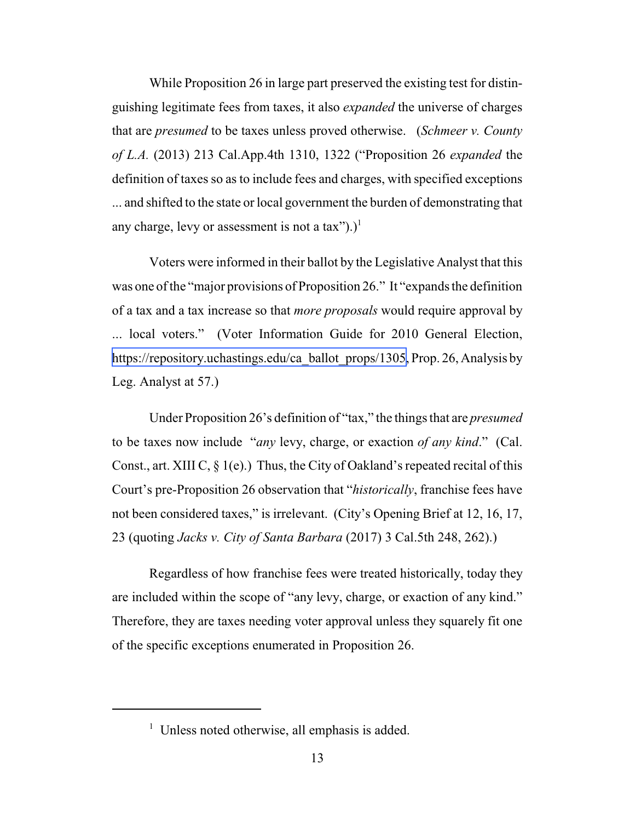While Proposition 26 in large part preserved the existing test for distinguishing legitimate fees from taxes, it also *expanded* the universe of charges that are *presumed* to be taxes unless proved otherwise. (*Schmeer v. County of L.A.* (2013) 213 Cal.App.4th 1310, 1322 ("Proposition 26 *expanded* the definition of taxes so as to include fees and charges, with specified exceptions ... and shifted to the state or local government the burden of demonstrating that any charge, levy or assessment is not a tax").)<sup>1</sup>

Voters were informed in their ballot by the Legislative Analyst that this was one of the "major provisions of Proposition 26." It "expands the definition of a tax and a tax increase so that *more proposals* would require approval by ... local voters." (Voter Information Guide for 2010 General Election, [https://repository.uchastings.edu/ca\\_ballot\\_props/1305,](https://repository.uchastings.edu/ca_ballot_props/1305) Prop. 26, Analysis by Leg. Analyst at 57.)

Under Proposition 26's definition of "tax," the things that are *presumed* to be taxes now include "*any* levy, charge, or exaction *of any kind*." (Cal. Const., art. XIII C,  $\S$  1(e).) Thus, the City of Oakland's repeated recital of this Court's pre-Proposition 26 observation that "*historically*, franchise fees have not been considered taxes," is irrelevant. (City's Opening Brief at 12, 16, 17, 23 (quoting *Jacks v. City of Santa Barbara* (2017) 3 Cal.5th 248, 262).)

Regardless of how franchise fees were treated historically, today they are included within the scope of "any levy, charge, or exaction of any kind." Therefore, they are taxes needing voter approval unless they squarely fit one of the specific exceptions enumerated in Proposition 26.

 $<sup>1</sup>$  Unless noted otherwise, all emphasis is added.</sup>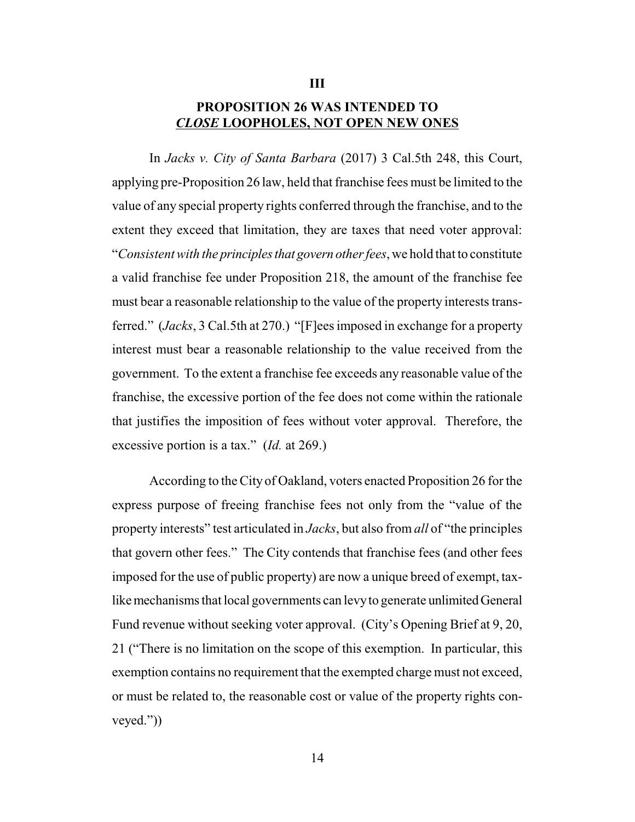## **PROPOSITION 26 WAS INTENDED TO** *CLOSE* **LOOPHOLES, NOT OPEN NEW ONES**

**III**

In *Jacks v. City of Santa Barbara* (2017) 3 Cal.5th 248, this Court, applying pre-Proposition 26 law, held that franchise fees must be limited to the value of any special property rights conferred through the franchise, and to the extent they exceed that limitation, they are taxes that need voter approval: "*Consistent with the principlesthat govern other fees*, we hold that to constitute a valid franchise fee under Proposition 218, the amount of the franchise fee must bear a reasonable relationship to the value of the property interests transferred." (*Jacks*, 3 Cal.5th at 270.) "[F]ees imposed in exchange for a property interest must bear a reasonable relationship to the value received from the government. To the extent a franchise fee exceeds any reasonable value of the franchise, the excessive portion of the fee does not come within the rationale that justifies the imposition of fees without voter approval. Therefore, the excessive portion is a tax." (*Id.* at 269.)

According to the City of Oakland, voters enacted Proposition 26 for the express purpose of freeing franchise fees not only from the "value of the property interests" test articulated in *Jacks*, but also from *all* of "the principles that govern other fees." The City contends that franchise fees (and other fees imposed for the use of public property) are now a unique breed of exempt, taxlike mechanisms that local governments can levy to generate unlimited General Fund revenue without seeking voter approval. (City's Opening Brief at 9, 20, 21 ("There is no limitation on the scope of this exemption. In particular, this exemption contains no requirement that the exempted charge must not exceed, or must be related to, the reasonable cost or value of the property rights conveyed."))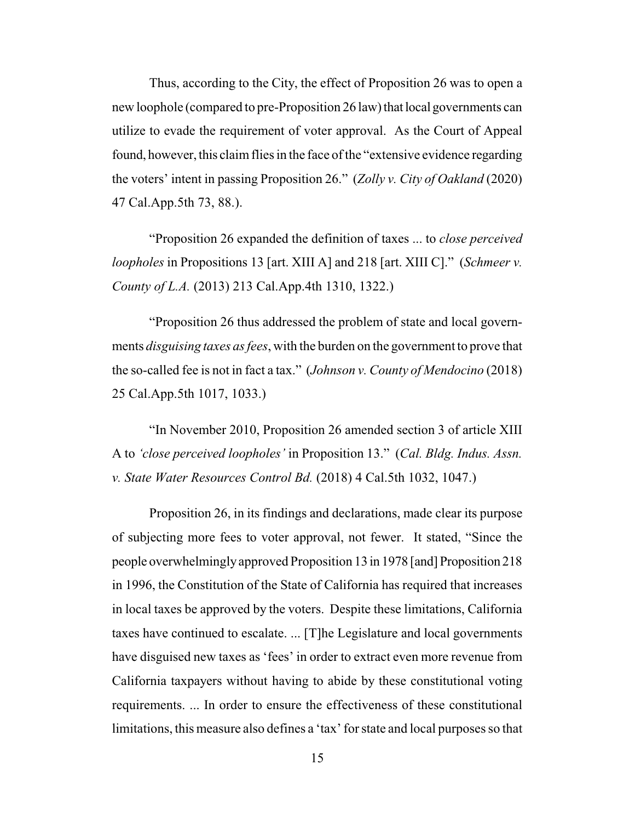Thus, according to the City, the effect of Proposition 26 was to open a new loophole (compared to pre-Proposition 26 law) that local governments can utilize to evade the requirement of voter approval. As the Court of Appeal found, however, this claim flies in the face of the "extensive evidence regarding" the voters' intent in passing Proposition 26." (*Zolly v. City of Oakland* (2020) 47 Cal.App.5th 73, 88.).

"Proposition 26 expanded the definition of taxes ... to *close perceived loopholes* in Propositions 13 [art. XIII A] and 218 [art. XIII C]." (*Schmeer v. County of L.A.* (2013) 213 Cal.App.4th 1310, 1322.)

"Proposition 26 thus addressed the problem of state and local governments *disguising taxes as fees*, with the burden on the government to prove that the so-called fee is not in fact a tax." (*Johnson v. County of Mendocino* (2018) 25 Cal.App.5th 1017, 1033.)

"In November 2010, Proposition 26 amended section 3 of article XIII A to *'close perceived loopholes'* in Proposition 13." (*Cal. Bldg. Indus. Assn. v. State Water Resources Control Bd.* (2018) 4 Cal.5th 1032, 1047.)

Proposition 26, in its findings and declarations, made clear its purpose of subjecting more fees to voter approval, not fewer. It stated, "Since the people overwhelminglyapproved Proposition 13 in 1978 [and] Proposition 218 in 1996, the Constitution of the State of California has required that increases in local taxes be approved by the voters. Despite these limitations, California taxes have continued to escalate. ... [T]he Legislature and local governments have disguised new taxes as 'fees' in order to extract even more revenue from California taxpayers without having to abide by these constitutional voting requirements. ... In order to ensure the effectiveness of these constitutional limitations, this measure also defines a 'tax' for state and local purposes so that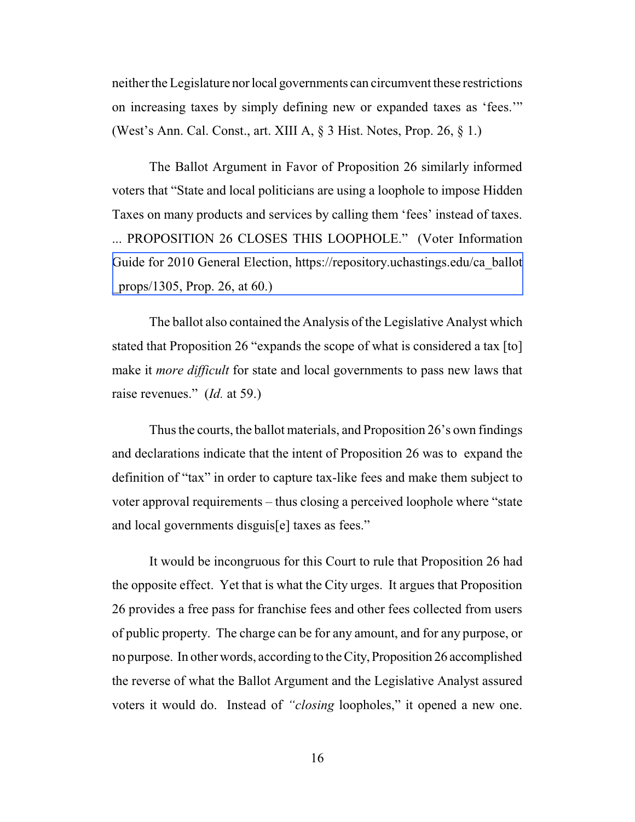neither the Legislature norlocal governments can circumvent these restrictions on increasing taxes by simply defining new or expanded taxes as 'fees.'" (West's Ann. Cal. Const., art. XIII A, § 3 Hist. Notes, Prop. 26, § 1.)

The Ballot Argument in Favor of Proposition 26 similarly informed voters that "State and local politicians are using a loophole to impose Hidden Taxes on many products and services by calling them 'fees' instead of taxes. ... PROPOSITION 26 CLOSES THIS LOOPHOLE." (Voter Information [Guide for 2010 General Election, https://repository.uchastings.edu/ca\\_ballot](https://repository.uchastings.edu/ca_ballot_props/1305) \_props/1305, Prop. 26, at 60.)

The ballot also contained the Analysis of the Legislative Analyst which stated that Proposition 26 "expands the scope of what is considered a tax [to] make it *more difficult* for state and local governments to pass new laws that raise revenues." (*Id.* at 59.)

Thus the courts, the ballot materials, and Proposition 26's own findings and declarations indicate that the intent of Proposition 26 was to expand the definition of "tax" in order to capture tax-like fees and make them subject to voter approval requirements – thus closing a perceived loophole where "state and local governments disguis[e] taxes as fees."

It would be incongruous for this Court to rule that Proposition 26 had the opposite effect. Yet that is what the City urges. It argues that Proposition 26 provides a free pass for franchise fees and other fees collected from users of public property. The charge can be for any amount, and for any purpose, or no purpose. In other words, according to the City,Proposition 26 accomplished the reverse of what the Ballot Argument and the Legislative Analyst assured voters it would do. Instead of *"closing* loopholes," it opened a new one.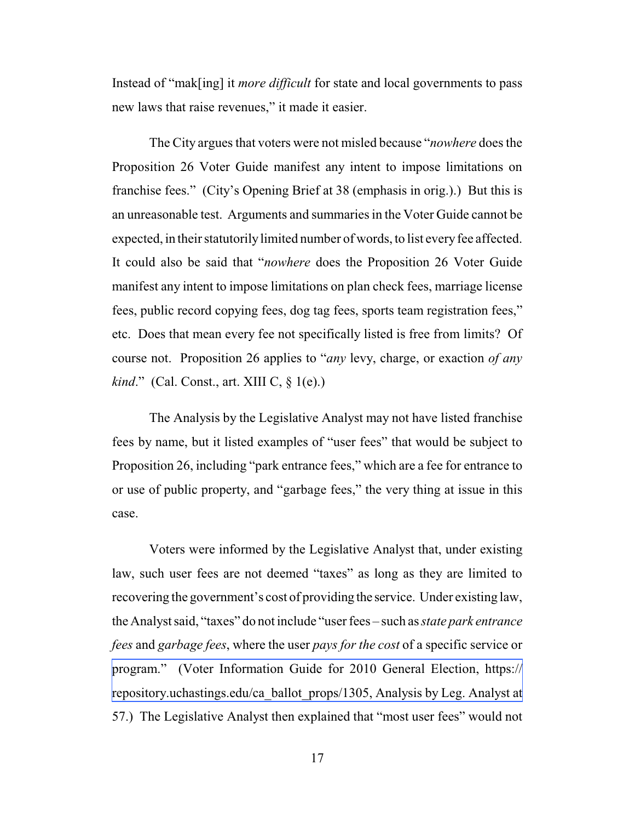Instead of "mak[ing] it *more difficult* for state and local governments to pass new laws that raise revenues," it made it easier.

The City argues that voters were not misled because "*nowhere* does the Proposition 26 Voter Guide manifest any intent to impose limitations on franchise fees." (City's Opening Brief at 38 (emphasis in orig.).) But this is an unreasonable test. Arguments and summaries in the Voter Guide cannot be expected, in their statutorily limited number of words, to list every fee affected. It could also be said that "*nowhere* does the Proposition 26 Voter Guide manifest any intent to impose limitations on plan check fees, marriage license fees, public record copying fees, dog tag fees, sports team registration fees," etc. Does that mean every fee not specifically listed is free from limits? Of course not. Proposition 26 applies to "*any* levy, charge, or exaction *of any kind.*" (Cal. Const., art. XIII C, § 1(e).)

The Analysis by the Legislative Analyst may not have listed franchise fees by name, but it listed examples of "user fees" that would be subject to Proposition 26, including "park entrance fees," which are a fee for entrance to or use of public property, and "garbage fees," the very thing at issue in this case.

Voters were informed by the Legislative Analyst that, under existing law, such user fees are not deemed "taxes" as long as they are limited to recovering the government's cost of providing the service. Under existing law, the Analyst said, "taxes" do not include "user fees – such as *state park entrance fees* and *garbage fees*, where the user *pays for the cost* of a specific service or [program." \(Voter Information Guide for 2010 General Election, https://](https://repository.uchastings.edu/ca_ballot_props/1305) repository.uchastings.edu/ca\_ballot\_props/1305, Analysis by Leg. Analyst at 57.) The Legislative Analyst then explained that "most user fees" would not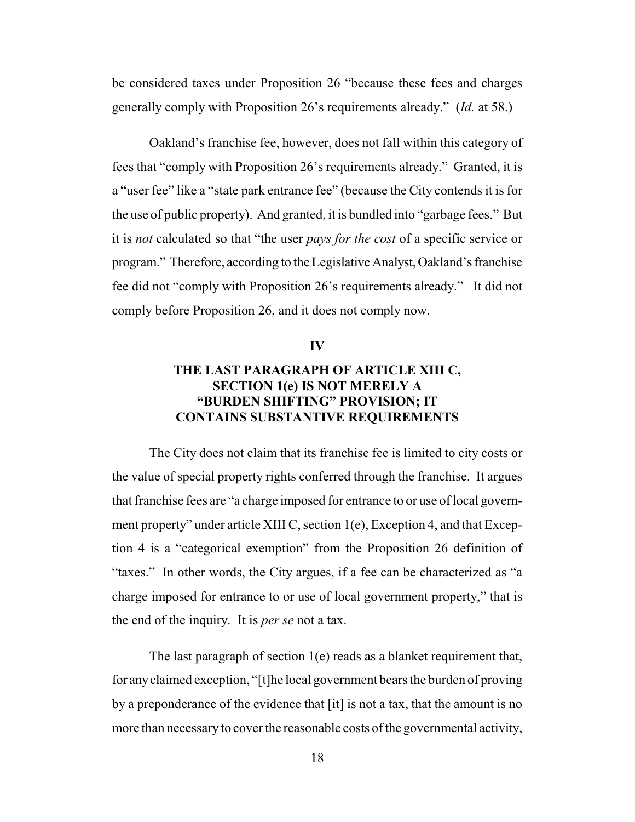be considered taxes under Proposition 26 "because these fees and charges generally comply with Proposition 26's requirements already." (*Id.* at 58.)

Oakland's franchise fee, however, does not fall within this category of fees that "comply with Proposition 26's requirements already." Granted, it is a "user fee" like a "state park entrance fee" (because the City contends it is for the use of public property). And granted, it is bundled into "garbage fees." But it is *not* calculated so that "the user *pays for the cost* of a specific service or program." Therefore, according to the Legislative Analyst, Oakland's franchise fee did not "comply with Proposition 26's requirements already." It did not comply before Proposition 26, and it does not comply now.

#### **IV**

## **THE LAST PARAGRAPH OF ARTICLE XIII C, SECTION 1(e) IS NOT MERELY A "BURDEN SHIFTING" PROVISION; IT CONTAINS SUBSTANTIVE REQUIREMENTS**

The City does not claim that its franchise fee is limited to city costs or the value of special property rights conferred through the franchise. It argues that franchise fees are "a charge imposed for entrance to or use of local government property" under article XIII C, section 1(e), Exception 4, and that Exception 4 is a "categorical exemption" from the Proposition 26 definition of "taxes." In other words, the City argues, if a fee can be characterized as "a charge imposed for entrance to or use of local government property," that is the end of the inquiry. It is *per se* not a tax.

The last paragraph of section  $1(e)$  reads as a blanket requirement that, for anyclaimed exception, "[t]he local government bears the burden of proving by a preponderance of the evidence that [it] is not a tax, that the amount is no more than necessary to cover the reasonable costs of the governmental activity,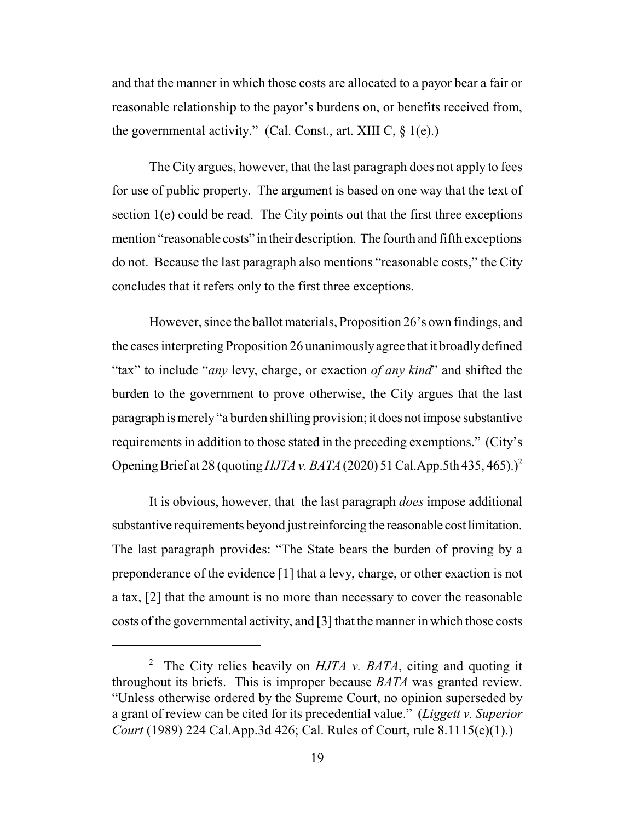and that the manner in which those costs are allocated to a payor bear a fair or reasonable relationship to the payor's burdens on, or benefits received from, the governmental activity." (Cal. Const., art. XIII C,  $\S$  1(e).)

The City argues, however, that the last paragraph does not apply to fees for use of public property. The argument is based on one way that the text of section  $1(e)$  could be read. The City points out that the first three exceptions mention "reasonable costs" in their description. The fourth and fifth exceptions do not. Because the last paragraph also mentions "reasonable costs," the City concludes that it refers only to the first three exceptions.

However, since the ballot materials, Proposition 26's own findings, and the cases interpreting Proposition 26 unanimouslyagree that it broadly defined "tax" to include "*any* levy, charge, or exaction *of any kind*" and shifted the burden to the government to prove otherwise, the City argues that the last paragraph is merely"a burden shifting provision; it does notimpose substantive requirements in addition to those stated in the preceding exemptions." (City's Opening Brief at 28 (quoting *HJTA v. BATA* (2020) 51 Cal.App.5th 435, 465).)<sup>2</sup>

It is obvious, however, that the last paragraph *does* impose additional substantive requirements beyond just reinforcing the reasonable cost limitation. The last paragraph provides: "The State bears the burden of proving by a preponderance of the evidence [1] that a levy, charge, or other exaction is not a tax, [2] that the amount is no more than necessary to cover the reasonable costs of the governmental activity, and [3] that the manner in which those costs

<sup>&</sup>lt;sup>2</sup> The City relies heavily on  $HJTA$  v. BATA, citing and quoting it throughout its briefs. This is improper because *BATA* was granted review. "Unless otherwise ordered by the Supreme Court, no opinion superseded by a grant of review can be cited for its precedential value." (*Liggett v. Superior Court* (1989) 224 Cal.App.3d 426; Cal. Rules of Court, rule 8.1115(e)(1).)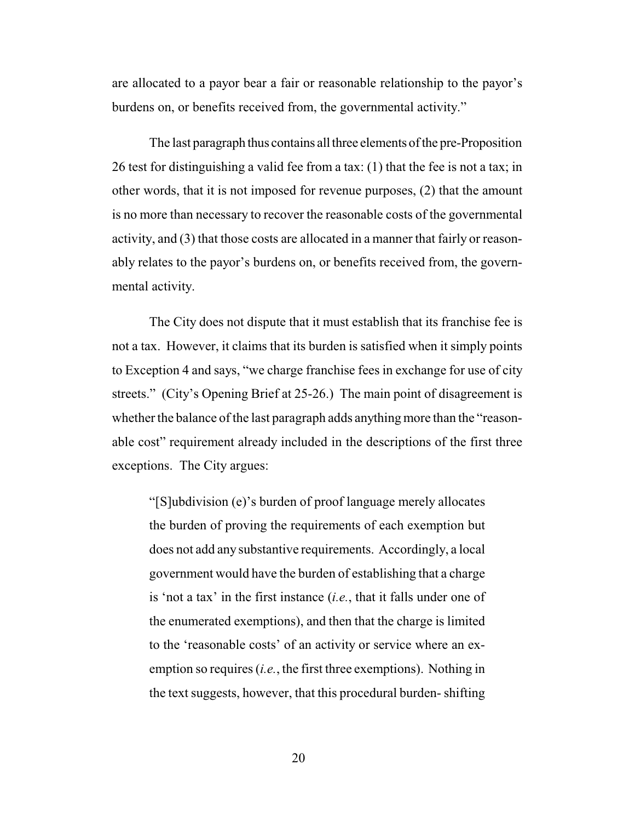are allocated to a payor bear a fair or reasonable relationship to the payor's burdens on, or benefits received from, the governmental activity."

The last paragraph thus contains all three elements of the pre-Proposition 26 test for distinguishing a valid fee from a tax: (1) that the fee is not a tax; in other words, that it is not imposed for revenue purposes, (2) that the amount is no more than necessary to recover the reasonable costs of the governmental activity, and (3) that those costs are allocated in a manner that fairly or reasonably relates to the payor's burdens on, or benefits received from, the governmental activity.

The City does not dispute that it must establish that its franchise fee is not a tax. However, it claims that its burden is satisfied when it simply points to Exception 4 and says, "we charge franchise fees in exchange for use of city streets." (City's Opening Brief at 25-26.) The main point of disagreement is whether the balance of the last paragraph adds anything more than the "reasonable cost" requirement already included in the descriptions of the first three exceptions. The City argues:

"[S]ubdivision (e)'s burden of proof language merely allocates the burden of proving the requirements of each exemption but does not add any substantive requirements. Accordingly, a local government would have the burden of establishing that a charge is 'not a tax' in the first instance (*i.e.*, that it falls under one of the enumerated exemptions), and then that the charge is limited to the 'reasonable costs' of an activity or service where an exemption so requires (*i.e.*, the first three exemptions). Nothing in the text suggests, however, that this procedural burden- shifting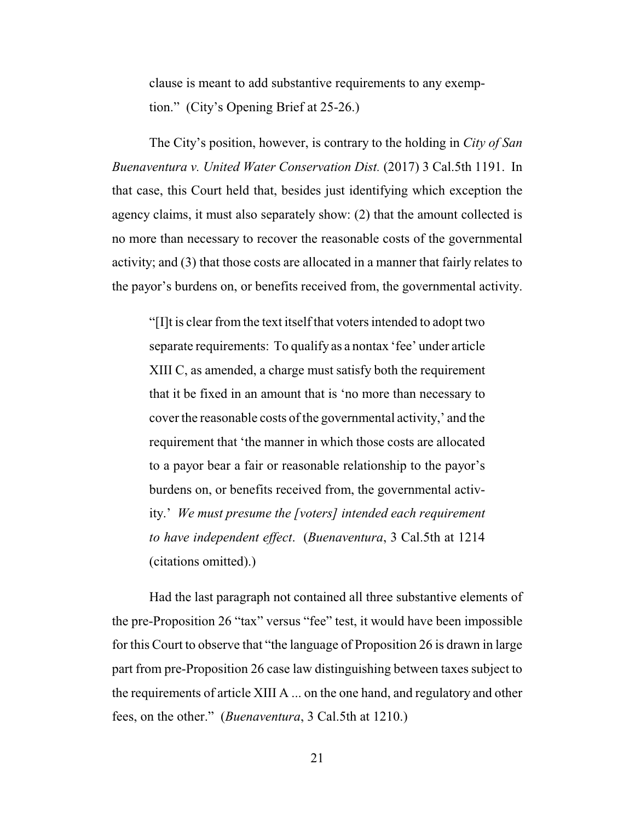clause is meant to add substantive requirements to any exemption." (City's Opening Brief at 25-26.)

The City's position, however, is contrary to the holding in *City of San Buenaventura v. United Water Conservation Dist.* (2017) 3 Cal.5th 1191. In that case, this Court held that, besides just identifying which exception the agency claims, it must also separately show: (2) that the amount collected is no more than necessary to recover the reasonable costs of the governmental activity; and (3) that those costs are allocated in a manner that fairly relates to the payor's burdens on, or benefits received from, the governmental activity.

"[I]t is clear from the text itself that voters intended to adopt two separate requirements: To qualify as a nontax 'fee' under article XIII C, as amended, a charge must satisfy both the requirement that it be fixed in an amount that is 'no more than necessary to cover the reasonable costs of the governmental activity,' and the requirement that 'the manner in which those costs are allocated to a payor bear a fair or reasonable relationship to the payor's burdens on, or benefits received from, the governmental activity.' *We must presume the [voters] intended each requirement to have independent effect*. (*Buenaventura*, 3 Cal.5th at 1214 (citations omitted).)

Had the last paragraph not contained all three substantive elements of the pre-Proposition 26 "tax" versus "fee" test, it would have been impossible for this Court to observe that "the language of Proposition 26 is drawn in large part from pre-Proposition 26 case law distinguishing between taxes subject to the requirements of article XIII A ... on the one hand, and regulatory and other fees, on the other." (*Buenaventura*, 3 Cal.5th at 1210.)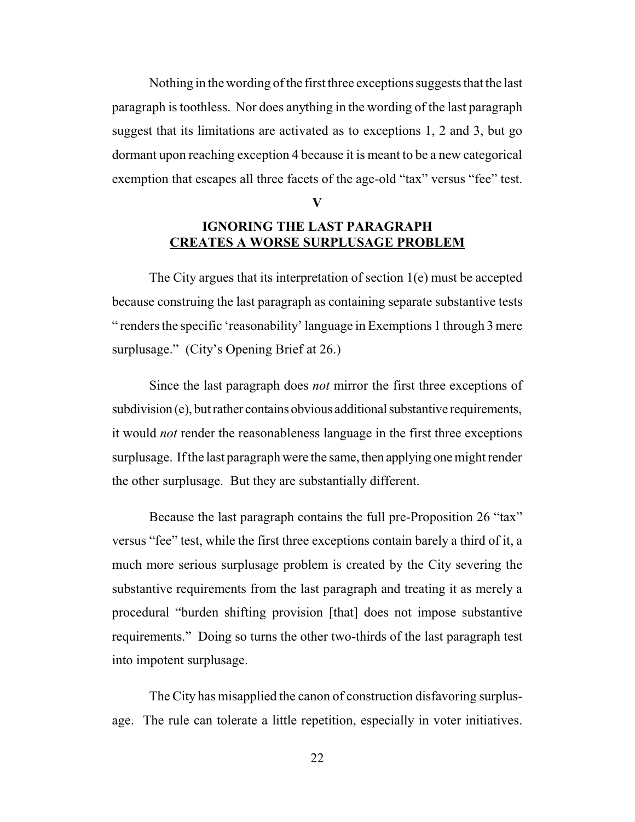Nothing in the wording of the first three exceptions suggests that the last paragraph is toothless. Nor does anything in the wording of the last paragraph suggest that its limitations are activated as to exceptions 1, 2 and 3, but go dormant upon reaching exception 4 because it is meant to be a new categorical exemption that escapes all three facets of the age-old "tax" versus "fee" test.

**V**

### **IGNORING THE LAST PARAGRAPH CREATES A WORSE SURPLUSAGE PROBLEM**

The City argues that its interpretation of section  $1(e)$  must be accepted because construing the last paragraph as containing separate substantive tests " renders the specific 'reasonability' language in Exemptions 1 through 3 mere surplusage." (City's Opening Brief at 26.)

Since the last paragraph does *not* mirror the first three exceptions of  $subdivision(e)$ , but rather contains obvious additional substantive requirements, it would *not* render the reasonableness language in the first three exceptions surplusage. If the last paragraph were the same, then applying one might render the other surplusage. But they are substantially different.

Because the last paragraph contains the full pre-Proposition 26 "tax" versus "fee" test, while the first three exceptions contain barely a third of it, a much more serious surplusage problem is created by the City severing the substantive requirements from the last paragraph and treating it as merely a procedural "burden shifting provision [that] does not impose substantive requirements." Doing so turns the other two-thirds of the last paragraph test into impotent surplusage.

The City has misapplied the canon of construction disfavoring surplusage. The rule can tolerate a little repetition, especially in voter initiatives.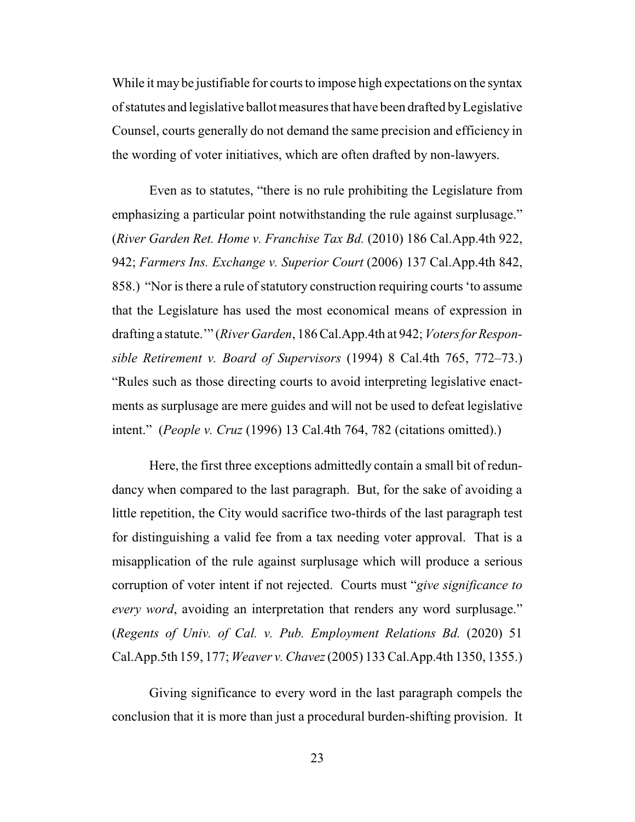While it may be justifiable for courts to impose high expectations on the syntax ofstatutes and legislative ballot measures that have been drafted byLegislative Counsel, courts generally do not demand the same precision and efficiency in the wording of voter initiatives, which are often drafted by non-lawyers.

Even as to statutes, "there is no rule prohibiting the Legislature from emphasizing a particular point notwithstanding the rule against surplusage." (*River Garden Ret. Home v. Franchise Tax Bd.* (2010) 186 Cal.App.4th 922, 942; *Farmers Ins. Exchange v. Superior Court* (2006) 137 Cal.App.4th 842, 858.) "Nor is there a rule of statutory construction requiring courts 'to assume that the Legislature has used the most economical means of expression in drafting a statute.'" (*River Garden*, 186 Cal.App.4th at 942; *VotersforResponsible Retirement v. Board of Supervisors* (1994) 8 Cal.4th 765, 772–73.) "Rules such as those directing courts to avoid interpreting legislative enactments as surplusage are mere guides and will not be used to defeat legislative intent." (*People v. Cruz* (1996) 13 Cal.4th 764, 782 (citations omitted).)

Here, the first three exceptions admittedly contain a small bit of redundancy when compared to the last paragraph. But, for the sake of avoiding a little repetition, the City would sacrifice two-thirds of the last paragraph test for distinguishing a valid fee from a tax needing voter approval. That is a misapplication of the rule against surplusage which will produce a serious corruption of voter intent if not rejected. Courts must "*give significance to every word*, avoiding an interpretation that renders any word surplusage." (*Regents of Univ. of Cal. v. Pub. Employment Relations Bd.* (2020) 51 Cal.App.5th 159, 177; *Weaver v. Chavez*(2005) 133 Cal.App.4th 1350, 1355.)

Giving significance to every word in the last paragraph compels the conclusion that it is more than just a procedural burden-shifting provision. It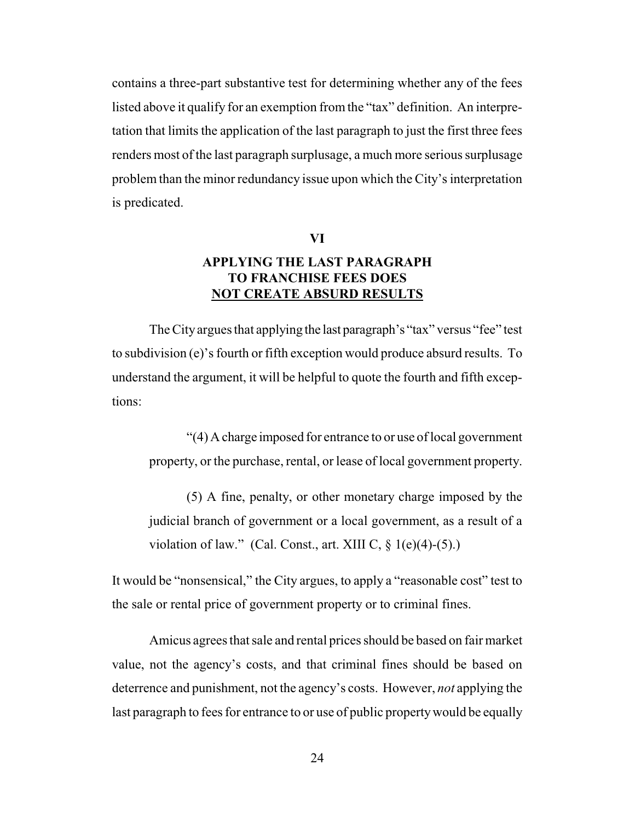contains a three-part substantive test for determining whether any of the fees listed above it qualify for an exemption fromthe "tax" definition. An interpretation that limits the application of the last paragraph to just the first three fees renders most of the last paragraph surplusage, a much more serious surplusage problem than the minor redundancy issue upon which the City's interpretation is predicated.

### **VI**

## **APPLYING THE LAST PARAGRAPH TO FRANCHISE FEES DOES NOT CREATE ABSURD RESULTS**

The Cityargues that applying the last paragraph's "tax" versus "fee" test to subdivision (e)'s fourth or fifth exception would produce absurd results. To understand the argument, it will be helpful to quote the fourth and fifth exceptions:

"(4) A charge imposed for entrance to or use of local government property, or the purchase, rental, or lease of local government property.

(5) A fine, penalty, or other monetary charge imposed by the judicial branch of government or a local government, as a result of a violation of law." (Cal. Const., art. XIII C,  $\S$  1(e)(4)-(5).)

It would be "nonsensical," the City argues, to apply a "reasonable cost" test to the sale or rental price of government property or to criminal fines.

Amicus agrees that sale and rental prices should be based on fair market value, not the agency's costs, and that criminal fines should be based on deterrence and punishment, not the agency's costs. However, *not* applying the last paragraph to fees for entrance to or use of public propertywould be equally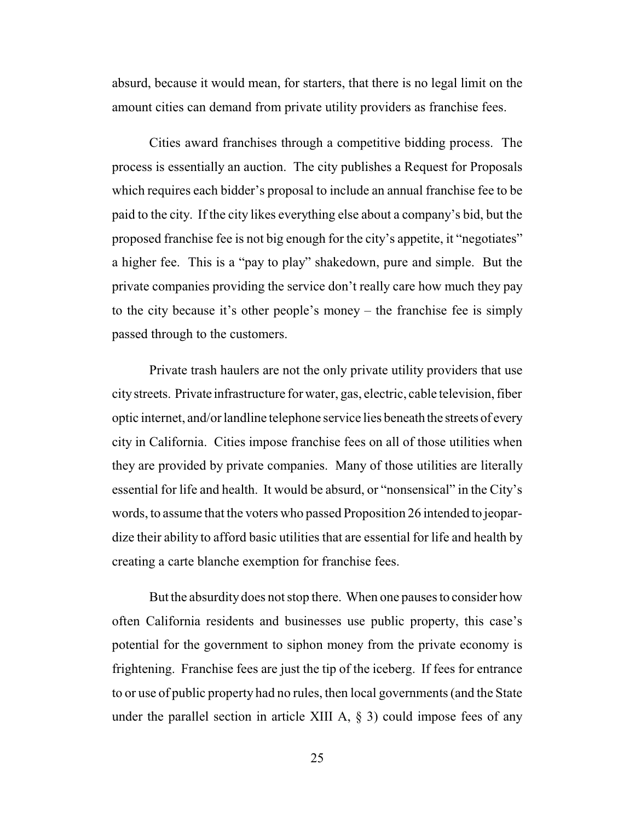absurd, because it would mean, for starters, that there is no legal limit on the amount cities can demand from private utility providers as franchise fees.

Cities award franchises through a competitive bidding process. The process is essentially an auction. The city publishes a Request for Proposals which requires each bidder's proposal to include an annual franchise fee to be paid to the city. If the city likes everything else about a company's bid, but the proposed franchise fee is not big enough for the city's appetite, it "negotiates" a higher fee. This is a "pay to play" shakedown, pure and simple. But the private companies providing the service don't really care how much they pay to the city because it's other people's money – the franchise fee is simply passed through to the customers.

Private trash haulers are not the only private utility providers that use citystreets. Private infrastructure for water, gas, electric, cable television, fiber optic internet, and/or landline telephone service lies beneath the streets of every city in California. Cities impose franchise fees on all of those utilities when they are provided by private companies. Many of those utilities are literally essential for life and health. It would be absurd, or "nonsensical" in the City's words, to assume that the voters who passed Proposition 26 intended to jeopardize their ability to afford basic utilities that are essential for life and health by creating a carte blanche exemption for franchise fees.

But the absurdity does not stop there. When one pauses to consider how often California residents and businesses use public property, this case's potential for the government to siphon money from the private economy is frightening. Franchise fees are just the tip of the iceberg. If fees for entrance to or use of public property had no rules, then local governments (and the State under the parallel section in article XIII A,  $\S$  3) could impose fees of any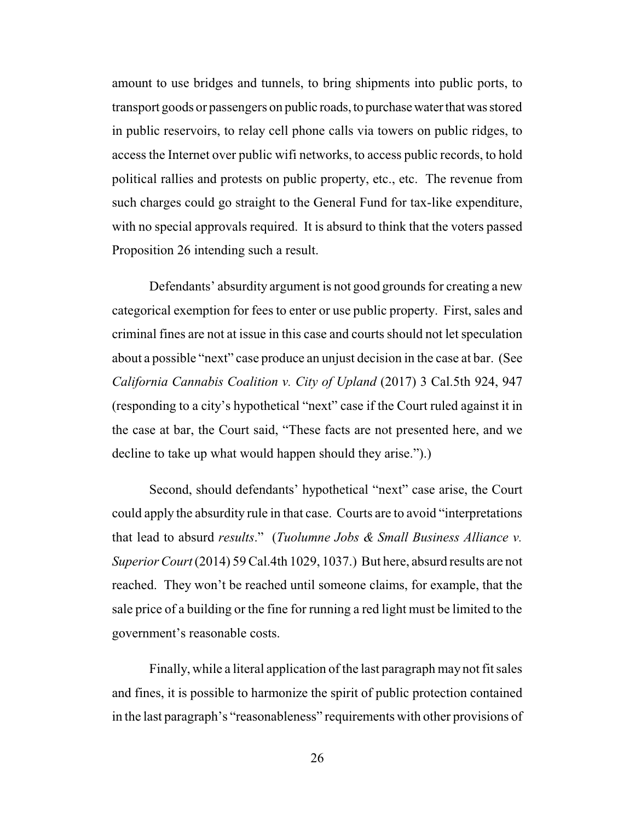amount to use bridges and tunnels, to bring shipments into public ports, to transport goods or passengers on public roads, to purchase water that was stored in public reservoirs, to relay cell phone calls via towers on public ridges, to access the Internet over public wifi networks, to access public records, to hold political rallies and protests on public property, etc., etc. The revenue from such charges could go straight to the General Fund for tax-like expenditure, with no special approvals required. It is absurd to think that the voters passed Proposition 26 intending such a result.

Defendants' absurdity argument is not good grounds for creating a new categorical exemption for fees to enter or use public property. First, sales and criminal fines are not at issue in this case and courts should not let speculation about a possible "next" case produce an unjust decision in the case at bar. (See *California Cannabis Coalition v. City of Upland* (2017) 3 Cal.5th 924, 947 (responding to a city's hypothetical "next" case if the Court ruled against it in the case at bar, the Court said, "These facts are not presented here, and we decline to take up what would happen should they arise.").)

Second, should defendants' hypothetical "next" case arise, the Court could apply the absurdity rule in that case. Courts are to avoid "interpretations that lead to absurd *results*." (*Tuolumne Jobs & Small Business Alliance v. Superior Court*(2014) 59 Cal.4th 1029, 1037.) But here, absurd results are not reached. They won't be reached until someone claims, for example, that the sale price of a building or the fine for running a red light must be limited to the government's reasonable costs.

Finally, while a literal application of the last paragraph may not fit sales and fines, it is possible to harmonize the spirit of public protection contained in the last paragraph's "reasonableness" requirements with other provisions of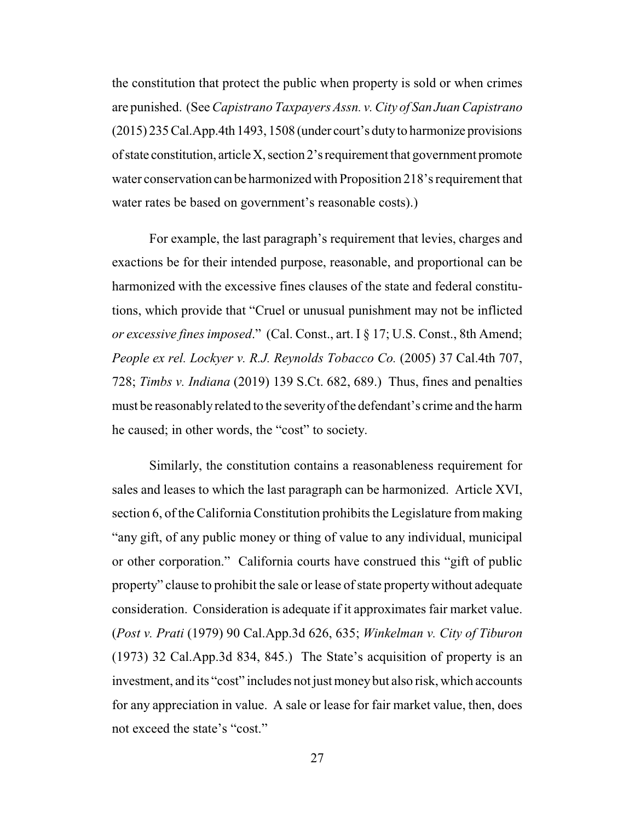the constitution that protect the public when property is sold or when crimes are punished. (See *Capistrano Taxpayers Assn. v. City of San Juan Capistrano* (2015) 235Cal.App.4th 1493, 1508 (under court's dutyto harmonize provisions of state constitution, articleX,section 2'srequirement that government promote water conservation can be harmonized with Proposition 218's requirement that water rates be based on government's reasonable costs).)

For example, the last paragraph's requirement that levies, charges and exactions be for their intended purpose, reasonable, and proportional can be harmonized with the excessive fines clauses of the state and federal constitutions, which provide that "Cruel or unusual punishment may not be inflicted *or excessive fines imposed*." (Cal. Const., art. I § 17; U.S. Const., 8th Amend; *People ex rel. Lockyer v. R.J. Reynolds Tobacco Co.* (2005) 37 Cal.4th 707, 728; *Timbs v. Indiana* (2019) 139 S.Ct. 682, 689.) Thus, fines and penalties must be reasonablyrelated to the severityof the defendant's crime and the harm he caused; in other words, the "cost" to society.

Similarly, the constitution contains a reasonableness requirement for sales and leases to which the last paragraph can be harmonized. Article XVI, section 6, of the California Constitution prohibits the Legislature from making "any gift, of any public money or thing of value to any individual, municipal or other corporation." California courts have construed this "gift of public property" clause to prohibit the sale or lease of state property without adequate consideration. Consideration is adequate if it approximates fair market value. (*Post v. Prati* (1979) 90 Cal.App.3d 626, 635; *Winkelman v. City of Tiburon* (1973) 32 Cal.App.3d 834, 845.) The State's acquisition of property is an investment, and its "cost" includes not just moneybut also risk, which accounts for any appreciation in value. A sale or lease for fair market value, then, does not exceed the state's "cost."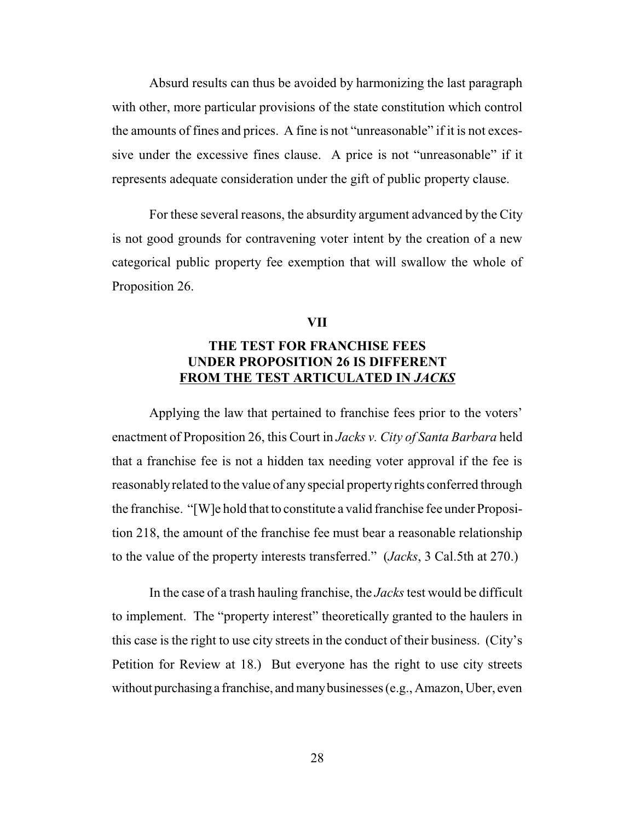Absurd results can thus be avoided by harmonizing the last paragraph with other, more particular provisions of the state constitution which control the amounts of fines and prices. A fine is not "unreasonable" if it is not excessive under the excessive fines clause. A price is not "unreasonable" if it represents adequate consideration under the gift of public property clause.

For these several reasons, the absurdity argument advanced by the City is not good grounds for contravening voter intent by the creation of a new categorical public property fee exemption that will swallow the whole of Proposition 26.

#### **VII**

### **THE TEST FOR FRANCHISE FEES UNDER PROPOSITION 26 IS DIFFERENT FROM THE TEST ARTICULATED IN** *JACKS*

Applying the law that pertained to franchise fees prior to the voters' enactment of Proposition 26, this Court in *Jacks v. City of Santa Barbara* held that a franchise fee is not a hidden tax needing voter approval if the fee is reasonably related to the value of any special property rights conferred through the franchise. "[W]e hold that to constitute a valid franchise fee under Proposition 218, the amount of the franchise fee must bear a reasonable relationship to the value of the property interests transferred." (*Jacks*, 3 Cal.5th at 270.)

In the case of a trash hauling franchise, the *Jacks*test would be difficult to implement. The "property interest" theoretically granted to the haulers in this case is the right to use city streets in the conduct of their business. (City's Petition for Review at 18.) But everyone has the right to use city streets without purchasing a franchise, and many businesses (e.g., Amazon, Uber, even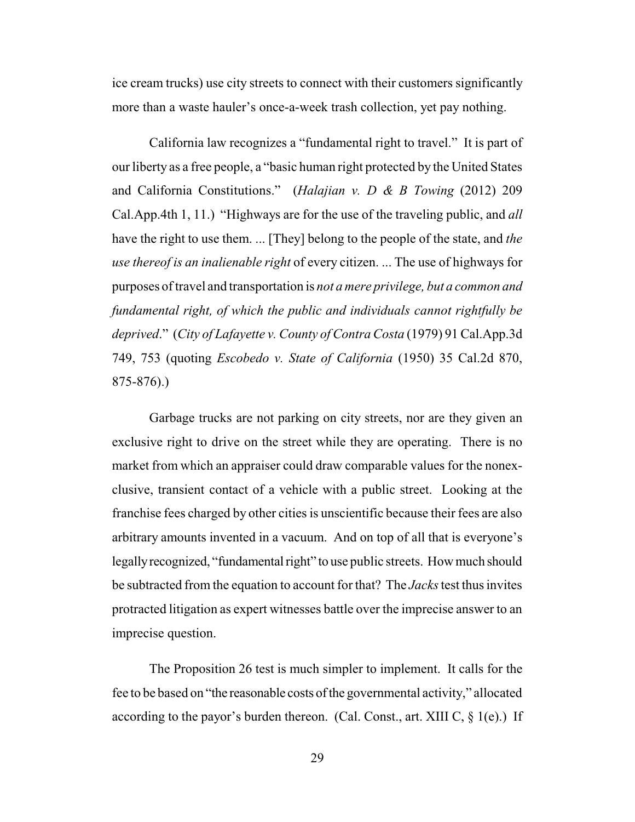ice cream trucks) use city streets to connect with their customers significantly more than a waste hauler's once-a-week trash collection, yet pay nothing.

California law recognizes a "fundamental right to travel." It is part of our liberty as a free people, a "basic human right protected by the United States and California Constitutions." (*Halajian v. D & B Towing* (2012) 209 Cal.App.4th 1, 11.) "Highways are for the use of the traveling public, and *all* have the right to use them. ... [They] belong to the people of the state, and *the use thereof is an inalienable right* of every citizen. ... The use of highways for purposes oftravel and transportation is *not a mere privilege, but a common and fundamental right, of which the public and individuals cannot rightfully be deprived*." (*City of Lafayette v. County of Contra Costa* (1979) 91 Cal.App.3d 749, 753 (quoting *Escobedo v. State of California* (1950) 35 Cal.2d 870, 875-876).)

Garbage trucks are not parking on city streets, nor are they given an exclusive right to drive on the street while they are operating. There is no market from which an appraiser could draw comparable values for the nonexclusive, transient contact of a vehicle with a public street. Looking at the franchise fees charged by other cities is unscientific because their fees are also arbitrary amounts invented in a vacuum. And on top of all that is everyone's legally recognized, "fundamental right" to use public streets. How much should be subtracted from the equation to account for that? The *Jacks*test thus invites protracted litigation as expert witnesses battle over the imprecise answer to an imprecise question.

The Proposition 26 test is much simpler to implement. It calls for the fee to be based on "the reasonable costs of the governmental activity," allocated according to the payor's burden thereon. (Cal. Const., art. XIII C,  $\S$  1(e).) If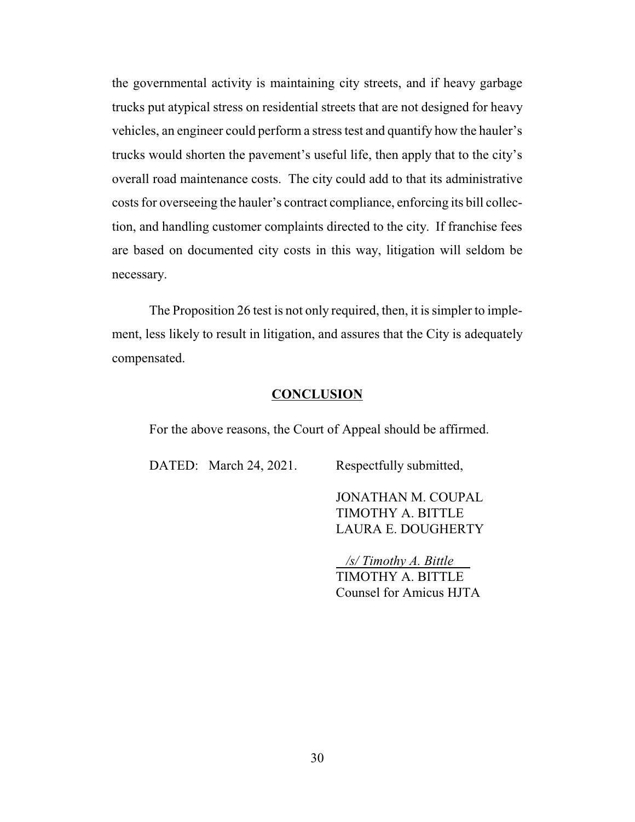the governmental activity is maintaining city streets, and if heavy garbage trucks put atypical stress on residential streets that are not designed for heavy vehicles, an engineer could perform a stress test and quantify how the hauler's trucks would shorten the pavement's useful life, then apply that to the city's overall road maintenance costs. The city could add to that its administrative costs for overseeing the hauler's contract compliance, enforcing its bill collection, and handling customer complaints directed to the city. If franchise fees are based on documented city costs in this way, litigation will seldom be necessary.

The Proposition 26 test is not only required, then, it is simpler to implement, less likely to result in litigation, and assures that the City is adequately compensated.

### **CONCLUSION**

For the above reasons, the Court of Appeal should be affirmed.

DATED: March 24, 2021. Respectfully submitted,

JONATHAN M. COUPAL TIMOTHY A. BITTLE LAURA E. DOUGHERTY

 */s/ Timothy A. Bittle*  TIMOTHY A. BITTLE Counsel for Amicus HJTA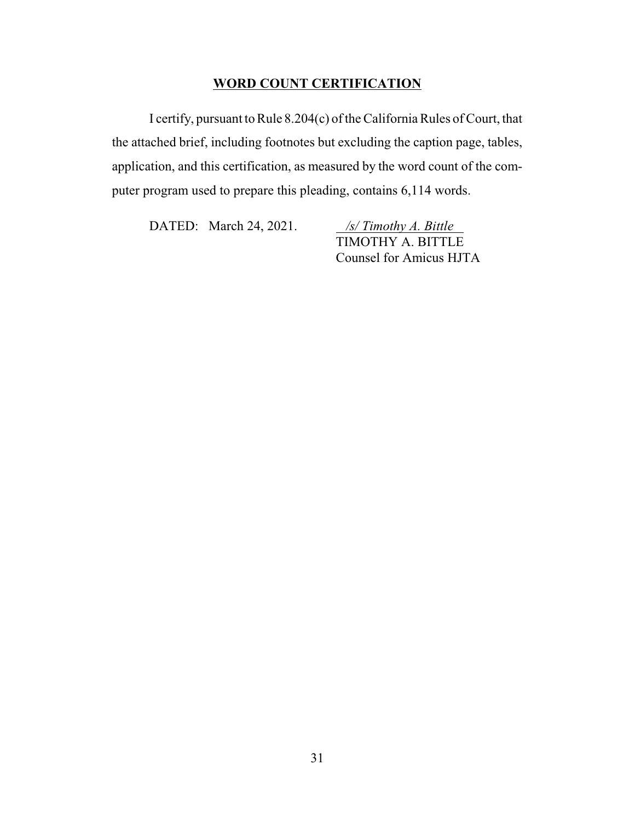### **WORD COUNT CERTIFICATION**

I certify, pursuant to Rule 8.204(c) of the California Rules of Court, that the attached brief, including footnotes but excluding the caption page, tables, application, and this certification, as measured by the word count of the computer program used to prepare this pleading, contains 6,114 words.

DATED: March 24, 2021. */s/ Timothy A. Bittle* 

TIMOTHY A. BITTLE Counsel for Amicus HJTA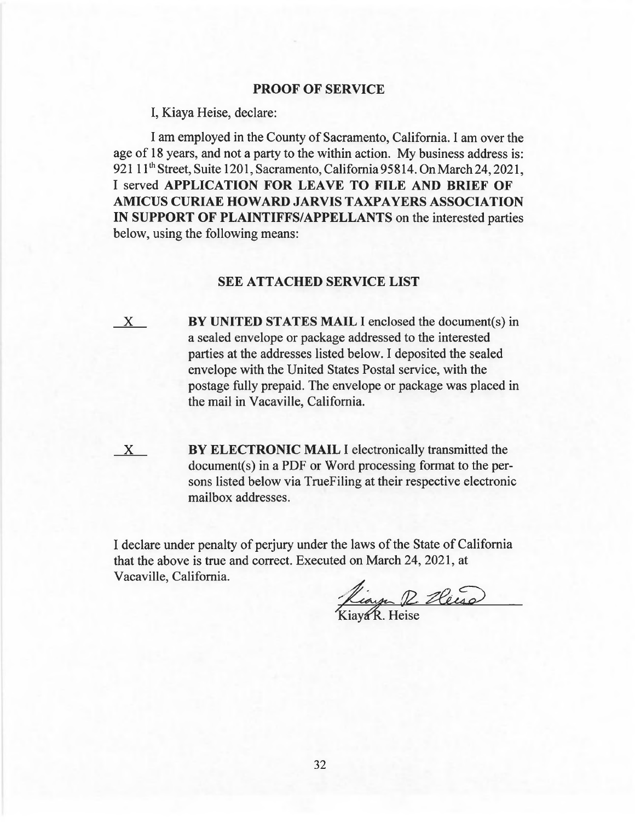#### **PROOF OF SERVICE**

I, Kiaya Heise, declare:

I am employed in the County of Sacramento, California. I am over the age of 18 years, and not a party to the within action. My business address is: 921 11<sup>th</sup> Street, Suite 1201, Sacramento, California 95814. On March 24, 2021, I served **APPLICATION FOR LEAVE TO FILE AND BRIEF OF AMICUS CURIAE HOWARD JARVIS TAXPAYERS ASSOCIATION IN SUPPORT OF PLAINTIFFS/APPELLANTS** on the interested parties below, using the following means:

### **SEE ATTACHED SERVICE LIST**

X **BY UNITED STATES MAIL** I enclosed the document(s) in a sealed envelope or package addressed to the interested parties at the addresses listed below. I deposited the sealed envelope with the United States Postal service, with the postage fully prepaid. The envelope or package was placed in the mail in Vacaville, California.

**EX BY ELECTRONIC MAIL** I electronically transmitted the document(s) in a PDF or Word processing format to the persons listed below via TrueFiling at their respective electronic mailbox addresses.

I declare under penalty of perjury under the laws of the State of California that the above is true and correct. Executed on March 24, 2021, at Vacaville, California.

King R. Heise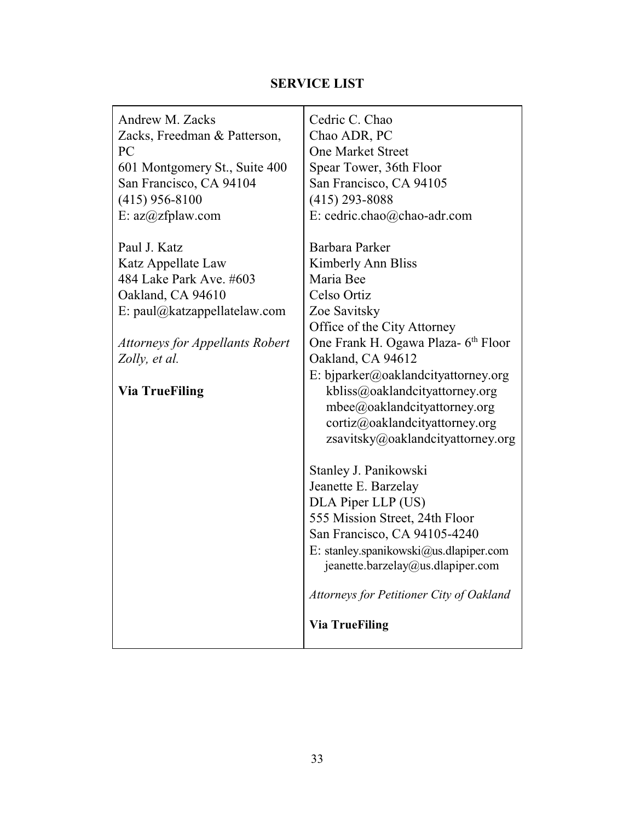# **SERVICE LIST**

| Andrew M. Zacks<br>Zacks, Freedman & Patterson,<br>PC<br>601 Montgomery St., Suite 400<br>San Francisco, CA 94104 | Cedric C. Chao<br>Chao ADR, PC<br><b>One Market Street</b><br>Spear Tower, 36th Floor<br>San Francisco, CA 94105                                                             |
|-------------------------------------------------------------------------------------------------------------------|------------------------------------------------------------------------------------------------------------------------------------------------------------------------------|
| $(415)$ 956-8100                                                                                                  | $(415)$ 293-8088                                                                                                                                                             |
| E: az@zfplaw.com                                                                                                  | E: cedric.chao@chao-adr.com                                                                                                                                                  |
| Paul J. Katz                                                                                                      | Barbara Parker                                                                                                                                                               |
| Katz Appellate Law                                                                                                | Kimberly Ann Bliss                                                                                                                                                           |
| 484 Lake Park Ave. #603                                                                                           | Maria Bee                                                                                                                                                                    |
| Oakland, CA 94610                                                                                                 | Celso Ortiz                                                                                                                                                                  |
| E: paul@katzappellatelaw.com                                                                                      | Zoe Savitsky                                                                                                                                                                 |
|                                                                                                                   | Office of the City Attorney                                                                                                                                                  |
| <b>Attorneys for Appellants Robert</b>                                                                            | One Frank H. Ogawa Plaza- 6 <sup>th</sup> Floor                                                                                                                              |
| Zolly, et al.                                                                                                     | Oakland, CA 94612                                                                                                                                                            |
| <b>Via TrueFiling</b>                                                                                             | E: bjparker@oaklandcityattorney.org<br>kbliss@oaklandcityattorney.org<br>mbee@oaklandcityattorney.org<br>cortiz@oaklandcityattorney.org<br>zsavitsky@oaklandcityattorney.org |
|                                                                                                                   | Stanley J. Panikowski                                                                                                                                                        |
|                                                                                                                   | Jeanette E. Barzelay                                                                                                                                                         |
|                                                                                                                   | DLA Piper LLP (US)                                                                                                                                                           |
|                                                                                                                   | 555 Mission Street, 24th Floor                                                                                                                                               |
|                                                                                                                   | San Francisco, CA 94105-4240                                                                                                                                                 |
|                                                                                                                   | E: stanley.spanikowski@us.dlapiper.com<br>jeanette.barzelay@us.dlapiper.com                                                                                                  |
|                                                                                                                   | Attorneys for Petitioner City of Oakland                                                                                                                                     |
|                                                                                                                   | <b>Via TrueFiling</b>                                                                                                                                                        |